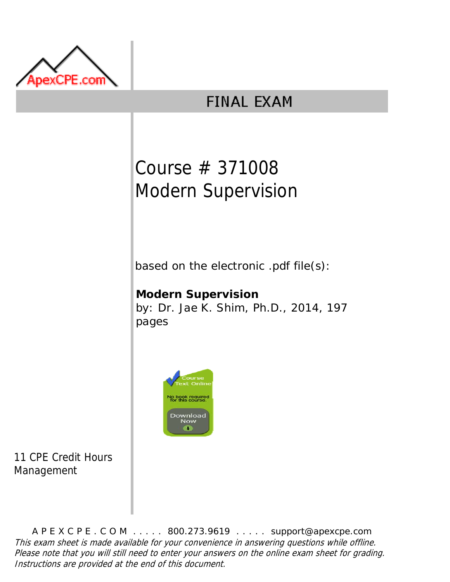

## **FINAL EXAM**

# Course # 371008 Modern Supervision

based on the electronic .pdf file(s):

**Modern Supervision** by: Dr. Jae K. Shim, Ph.D., 2014, 197 pages



11 CPE Credit Hours Management

A P E X C P E . C O M . . . . . 800.273.9619 . . . . . support@apexcpe.com This exam sheet is made available for your convenience in answering questions while offline. Please note that you will still need to enter your answers on the online exam sheet for grading. Instructions are provided at the end of this document.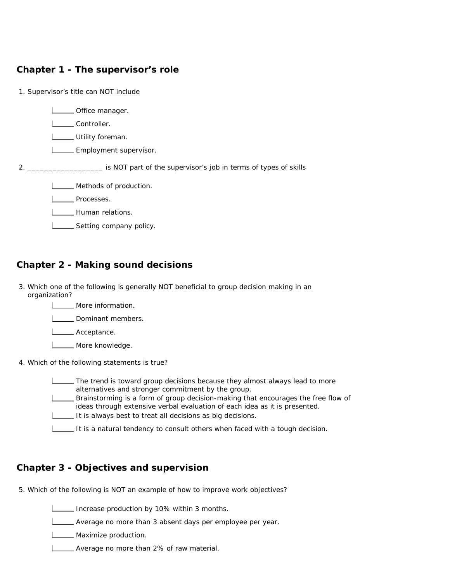## **Chapter 1 - The supervisor's role**

| 1. Supervisor's title can NOT include                                                                                           |
|---------------------------------------------------------------------------------------------------------------------------------|
| Office manager.<br>Controller.<br>_ Utility foreman.<br>_ Employment supervisor.                                                |
| is NOT part of the supervisor's job in terms of types of skills and the supervisor's job in terms of types of skills<br>$2^{+}$ |
| Methods of production.<br>Processes.<br>Human relations.<br>Setting company policy.                                             |

## **Chapter 2 - Making sound decisions**

- 3. Which one of the following is generally NOT beneficial to group decision making in an organization?
	- **LETTE** More information.

**L** Dominant members.

Acceptance.

L**LETT** More knowledge.

4. Which of the following statements is true?

| The trend is toward group decisions because they almost always lead to more<br>alternatives and stronger commitment by the group.                               |
|-----------------------------------------------------------------------------------------------------------------------------------------------------------------|
| Brainstorming is a form of group decision-making that encourages the free flow of<br>ideas through extensive verbal evaluation of each idea as it is presented. |
| It is always best to treat all decisions as big decisions.                                                                                                      |
| It is a natural tendency to consult others when faced with a tough decision.                                                                                    |

## **Chapter 3 - Objectives and supervision**

5. Which of the following is NOT an example of how to improve work objectives?

Increase production by 10% within 3 months.

Average no more than 3 absent days per employee per year.

**LECCC** Maximize production.

Average no more than 2% of raw material.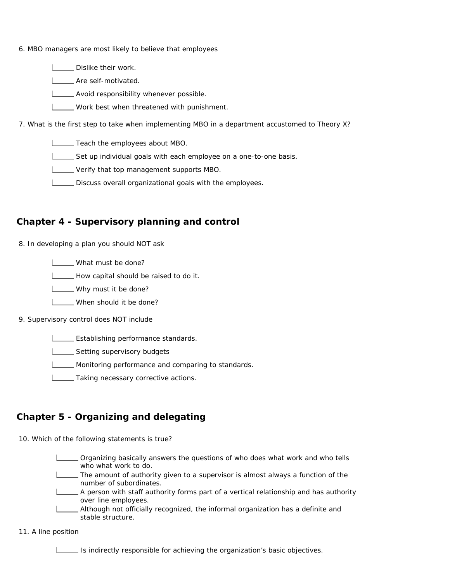- 6. MBO managers are most likely to believe that employees
	- **LECT** Dislike their work.

**LETTE** Are self-motivated.

**LETT** Avoid responsibility whenever possible.

**LECT** Work best when threatened with punishment.

7. What is the first step to take when implementing MBO in a department accustomed to Theory X?

**LECT** Teach the employees about MBO.

Set up individual goals with each employee on a one-to-one basis.

**LETT** Verify that top management supports MBO.

**LECT** Discuss overall organizational goals with the employees.

## **Chapter 4 - Supervisory planning and control**

8. In developing a plan you should NOT ask

**L** What must be done?

How capital should be raised to do it.

**L** Why must it be done?

**L\_\_\_\_** When should it be done?

#### 9. Supervisory control does NOT include

**LESTADE:** Establishing performance standards.

**LETT** Setting supervisory budgets

**Monitoring performance and comparing to standards.** 

**LETTAKING NECESSARY CORRECTIVE ACTIONS.** 

## **Chapter 5 - Organizing and delegating**

10. Which of the following statements is true?

- Organizing basically answers the questions of who does what work and who tells who what work to do.
- The amount of authority given to a supervisor is almost always a function of the number of subordinates.
- A person with staff authority forms part of a vertical relationship and has authority over line employees.
- **\_\_ Although not officially recognized, the informal organization has a definite and** stable structure.

11. A line position

Is indirectly responsible for achieving the organization's basic objectives.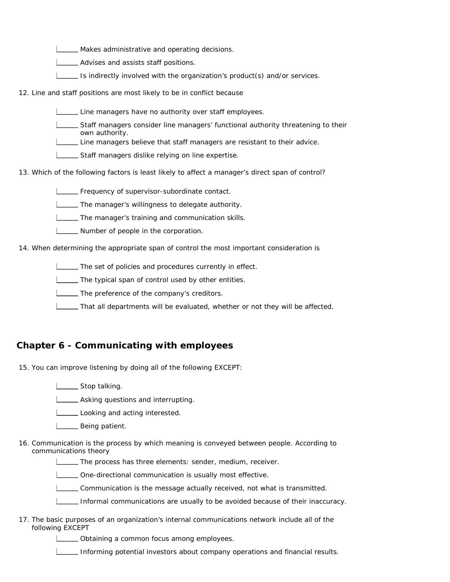Makes administrative and operating decisions.

- **L\_\_\_\_** Advises and assists staff positions.
- Is indirectly involved with the organization's product(s) and/or services.

12. Line and staff positions are most likely to be in conflict because

- Line managers have no authority over staff employees.
- Staff managers consider line managers' functional authority threatening to their own authority.

Line managers believe that staff managers are resistant to their advice.

**LETT** Staff managers dislike relying on line expertise.

13. Which of the following factors is least likely to affect a manager's direct span of control?

**Frequency of supervisor-subordinate contact.** 

**The manager's willingness to delegate authority.** 

**The manager's training and communication skills.** 

**Number of people in the corporation.** 

14. When determining the appropriate span of control the most important consideration is

**The set of policies and procedures currently in effect.** 

The typical span of control used by other entities.

The preference of the company's creditors.

That all departments will be evaluated, whether or not they will be affected.

#### **Chapter 6 - Communicating with employees**

15. You can improve listening by doing all of the following EXCEPT:

- **LETT** Stop talking.
- **LECTTE** Asking questions and interrupting.

Looking and acting interested.

- **L** Being patient.
- 16. Communication is the process by which meaning is conveyed between people. According to communications theory

**The process has three elements: sender, medium, receiver.** 

One-directional communication is usually most effective.

Communication is the message actually received, not what is transmitted.

Informal communications are usually to be avoided because of their inaccuracy.

17. The basic purposes of an organization's internal communications network include all of the following EXCEPT

**LECT** Obtaining a common focus among employees.

Informing potential investors about company operations and financial results.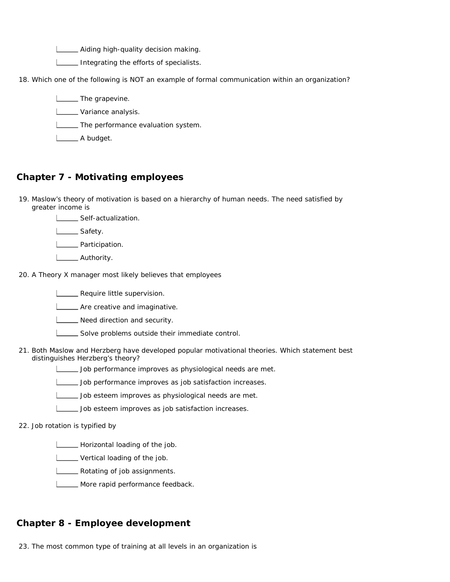**LETT** Aiding high-quality decision making.

Integrating the efforts of specialists.

18. Which one of the following is NOT an example of formal communication within an organization?

**L** The grapevine.

**Lackson** Variance analysis.

**LECTE** The performance evaluation system.

**L** A budget.

## **Chapter 7 - Motivating employees**

19. Maslow's theory of motivation is based on a hierarchy of human needs. The need satisfied by greater income is



L<sub>Safety</sub>.

**Lacker Participation.** 

L\_\_\_\_\_\_ Authority.

20. A Theory X manager most likely believes that employees

**LECT** Require little supervision.

**LETT** Are creative and imaginative.

**Need direction and security.** 

- Solve problems outside their immediate control.
- 21. Both Maslow and Herzberg have developed popular motivational theories. Which statement best distinguishes Herzberg's theory?
	- Job performance improves as physiological needs are met.
	- Job performance improves as job satisfaction increases.
	- Job esteem improves as physiological needs are met.
	- Job esteem improves as job satisfaction increases.

22. Job rotation is typified by

**Horizontal loading of the job.** 

- **Letter** Vertical loading of the job.
- **LETT** Rotating of job assignments.
- **LETTE** More rapid performance feedback.

#### **Chapter 8 - Employee development**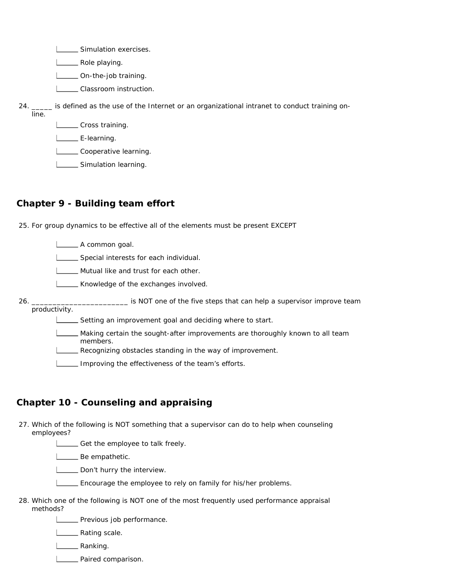**LECCC** Simulation exercises.

L\_\_\_\_\_ Role playing.

L\_\_\_\_\_ On-the-job training.

**L\_\_\_\_\_** Classroom instruction.

24. is defined as the use of the Internet or an organizational intranet to conduct training online.

**LETT** Cross training.

L\_\_\_\_\_\_\_ E-learning.

Cooperative learning.

**Simulation learning.** 

## **Chapter 9 - Building team effort**

25. For group dynamics to be effective all of the elements must be present EXCEPT

A common goal.

Special interests for each individual.

**LETT** Mutual like and trust for each other.

Knowledge of the exchanges involved.

26. **\_\_\_\_\_\_\_\_\_\_\_\_\_\_** is NOT one of the five steps that can help a supervisor improve team productivity.

Setting an improvement goal and deciding where to start.

Making certain the sought-after improvements are thoroughly known to all team members.

Recognizing obstacles standing in the way of improvement.

Improving the effectiveness of the team's efforts.

## **Chapter 10 - Counseling and appraising**

27. Which of the following is NOT something that a supervisor can do to help when counseling employees?

Get the employee to talk freely.

**L** Be empathetic.

**L** Don't hurry the interview.

Encourage the employee to rely on family for his/her problems.

28. Which one of the following is NOT one of the most frequently used performance appraisal methods?

**LECCC** Previous job performance.

**L\_\_\_\_\_** Rating scale.

**Lanking.** 

**Paired comparison.**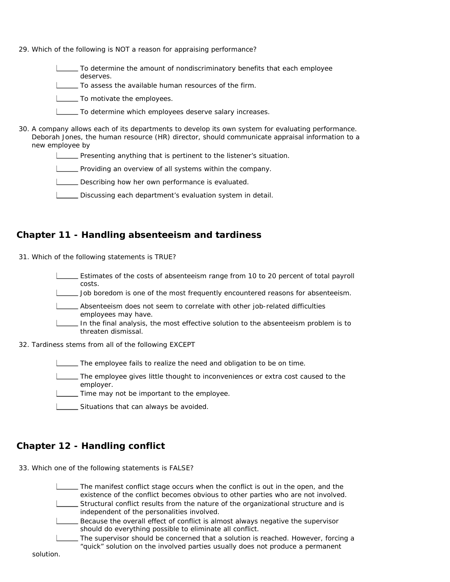- 29. Which of the following is NOT a reason for appraising performance?
	- To determine the amount of nondiscriminatory benefits that each employee deserves.
	- To assess the available human resources of the firm.
	- **To motivate the employees.**
	- To determine which employees deserve salary increases.
- 30. A company allows each of its departments to develop its own system for evaluating performance. Deborah Jones, the human resource (HR) director, should communicate appraisal information to a new employee by
	- **Presenting anything that is pertinent to the listener's situation.**
	- **Providing an overview of all systems within the company.**
	- Describing how her own performance is evaluated.
	- Discussing each department's evaluation system in detail.

#### **Chapter 11 - Handling absenteeism and tardiness**

- 31. Which of the following statements is TRUE?
	- Estimates of the costs of absenteeism range from 10 to 20 percent of total payroll costs.
	- Job boredom is one of the most frequently encountered reasons for absenteeism.
	- Absenteeism does not seem to correlate with other job-related difficulties employees may have.
	- In the final analysis, the most effective solution to the absenteeism problem is to threaten dismissal.
- 32. Tardiness stems from all of the following EXCEPT
	- The employee fails to realize the need and obligation to be on time.
	- The employee gives little thought to inconveniences or extra cost caused to the employer.
	- Time may not be important to the employee.
	- Situations that can always be avoided.

## **Chapter 12 - Handling conflict**

33. Which one of the following statements is FALSE?

The manifest conflict stage occurs when the conflict is out in the open, and the existence of the conflict becomes obvious to other parties who are not involved. Structural conflict results from the nature of the organizational structure and is independent of the personalities involved. Because the overall effect of conflict is almost always negative the supervisor should do everything possible to eliminate all conflict.

The supervisor should be concerned that a solution is reached. However, forcing a "quick" solution on the involved parties usually does not produce a permanent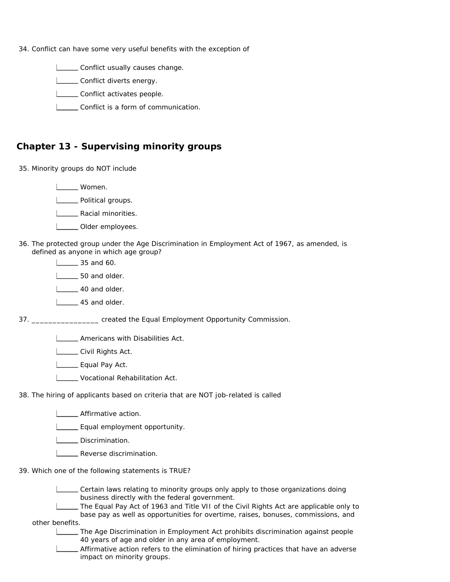34. Conflict can have some very useful benefits with the exception of

**LETT** Conflict usually causes change.

**LETT** Conflict diverts energy.

**Letter** Conflict activates people.

Conflict is a form of communication.

#### **Chapter 13 - Supervising minority groups**

35. Minority groups do NOT include

Women.

L\_\_\_\_ Political groups.

**Lacial minorities.** 

- **LECT** Older employees.
- 36. The protected group under the Age Discrimination in Employment Act of 1967, as amended, is defined as anyone in which age group?
	- $\frac{1}{35}$  and 60.

**L** 50 and older.

1 40 and older.

L<sub>222</sub>45 and older.

37. **\_\_\_\_\_\_\_\_\_\_\_\_** created the Equal Employment Opportunity Commission.

**LETT** Americans with Disabilities Act.

**LETTE** Civil Rights Act.

L\_\_\_\_\_ Equal Pay Act.

**LECTE** Vocational Rehabilitation Act.

38. The hiring of applicants based on criteria that are NOT job-related is called

**Equal employment opportunity.** 

L\_\_\_\_\_ Discrimination.

- **LECT** Reverse discrimination.
- 39. Which one of the following statements is TRUE?

Certain laws relating to minority groups only apply to those organizations doing business directly with the federal government.

The Equal Pay Act of 1963 and Title VII of the Civil Rights Act are applicable only to base pay as well as opportunities for overtime, raises, bonuses, commissions, and

other benefits.

The Age Discrimination in Employment Act prohibits discrimination against people 40 years of age and older in any area of employment.

Affirmative action refers to the elimination of hiring practices that have an adverse impact on minority groups.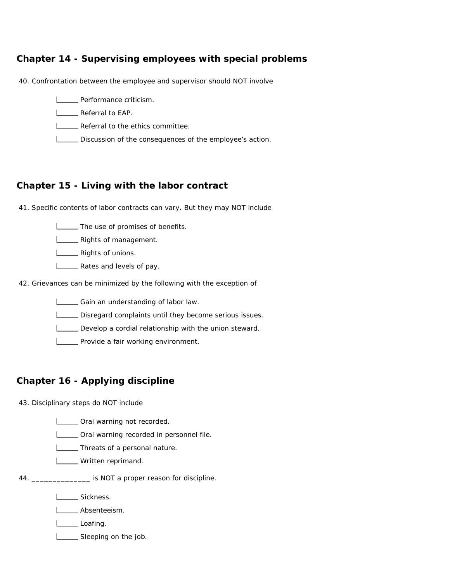## **Chapter 14 - Supervising employees with special problems**

40. Confrontation between the employee and supervisor should NOT involve

- **LECTE** Performance criticism.
- **LEAP.** Referral to EAP.
- **LETTE** Referral to the ethics committee.
- Discussion of the consequences of the employee's action.

#### **Chapter 15 - Living with the labor contract**

41. Specific contents of labor contracts can vary. But they may NOT include

**The use of promises of benefits.** 

**Letter** Rights of management.

**LETTE** Rights of unions.

- **LACCE** Rates and levels of pay.
- 42. Grievances can be minimized by the following with the exception of

Gain an understanding of labor law.

Disregard complaints until they become serious issues.

Develop a cordial relationship with the union steward.

**LETT** Provide a fair working environment.

## **Chapter 16 - Applying discipline**

43. Disciplinary steps do NOT include

**LETT** Oral warning not recorded.

**LETTE** Oral warning recorded in personnel file.

**Threats of a personal nature.** 

- **LETTE** Written reprimand.
- 44. \_\_\_\_\_\_\_\_\_\_\_\_\_\_ is NOT a proper reason for discipline.

Sickness.

L**L**Absenteeism.

Loafing.

Sleeping on the job.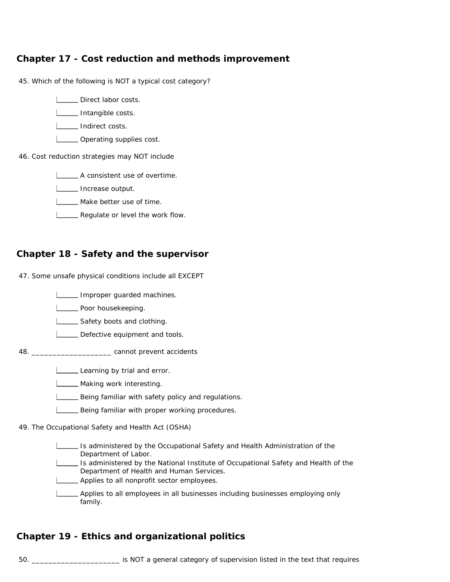## **Chapter 17 - Cost reduction and methods improvement**

45. Which of the following is NOT a typical cost category?

**LETT** Direct labor costs.

**Intangible costs.** 

**L** Indirect costs.

**LETT** Operating supplies cost.

46. Cost reduction strategies may NOT include

A consistent use of overtime.

**Increase output.** 

**L\_\_\_\_ Make better use of time.** 

**LETT** Regulate or level the work flow.

#### **Chapter 18 - Safety and the supervisor**

47. Some unsafe physical conditions include all EXCEPT

Improper guarded machines.

**LECT** Poor housekeeping.

Safety boots and clothing.

Defective equipment and tools.

48. \_\_\_\_\_\_\_\_\_\_\_\_\_\_\_\_\_\_\_ cannot prevent accidents

Learning by trial and error.

**LETTE** Making work interesting.

Being familiar with safety policy and regulations.

**LECT** Being familiar with proper working procedures.

49. The Occupational Safety and Health Act (OSHA)

Is administered by the Occupational Safety and Health Administration of the Department of Labor.

Is administered by the National Institute of Occupational Safety and Health of the Department of Health and Human Services.

**LETT** Applies to all nonprofit sector employees.

Applies to all employees in all businesses including businesses employing only family.

## **Chapter 19 - Ethics and organizational politics**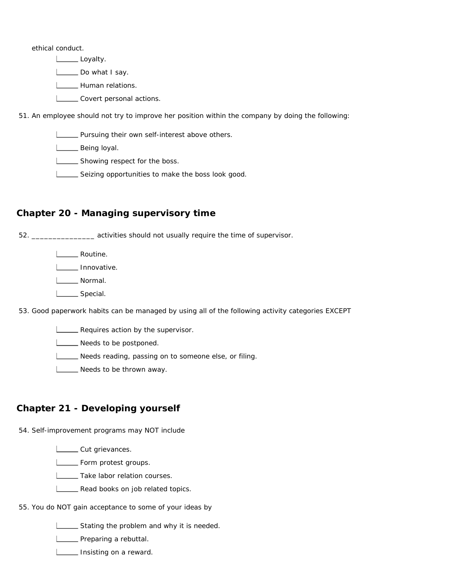ethical conduct.

Loyalty.

L\_\_\_\_\_\_ Do what I say.

L\_\_\_\_\_ Human relations.

L\_\_\_\_\_ Covert personal actions.

51. An employee should not try to improve her position within the company by doing the following:

**LETT** Pursuing their own self-interest above others.

L\_\_\_\_\_ Being loyal.

**L\_\_\_\_** Showing respect for the boss.

Seizing opportunities to make the boss look good.

## **Chapter 20 - Managing supervisory time**

52. \_\_\_\_\_\_\_\_\_\_\_\_\_\_\_ activities should not usually require the time of supervisor.

L\_\_\_\_\_\_ Routine.

**Innovative.** 

L**L** Normal.

L<sub>Special.</sub>

53. Good paperwork habits can be managed by using all of the following activity categories EXCEPT

**LETT** Requires action by the supervisor.

Needs to be postponed.

Needs reading, passing on to someone else, or filing.

Needs to be thrown away.

## **Chapter 21 - Developing yourself**

54. Self-improvement programs may NOT include

L\_\_\_\_\_\_ Cut grievances.

**L** Form protest groups.

**LETAKE Labor relation courses.** 

**LEARED Read books on job related topics.** 

55. You do NOT gain acceptance to some of your ideas by

Stating the problem and why it is needed.

**LETTE** Preparing a rebuttal.

**Insisting on a reward.**